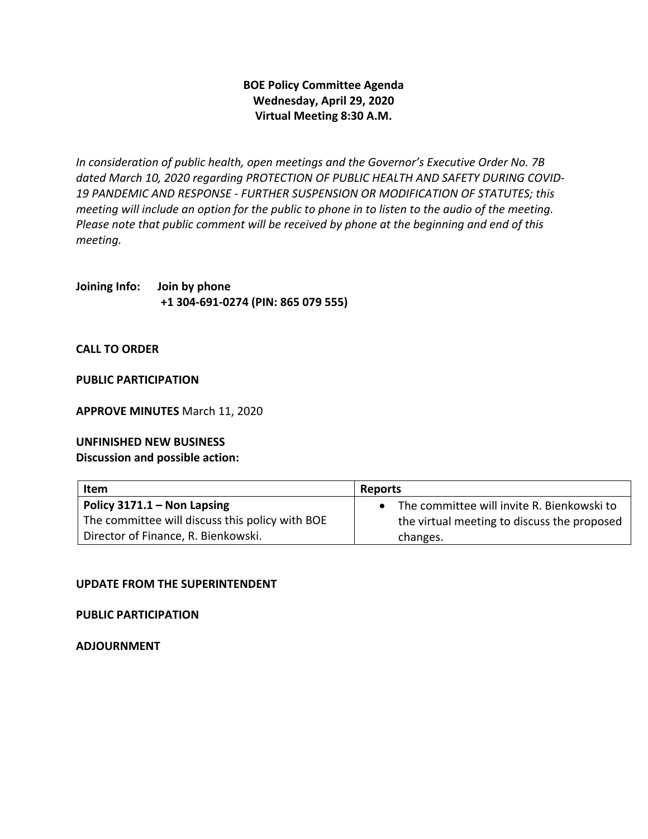## **BOE Policy Committee Agenda Wednesday, April 29, 2020 Virtual Meeting 8:30 A.M.**

*In consideration of public health, open meetings and the Governor's Executive Order No. 7B dated March 10, 2020 regarding PROTECTION OF PUBLIC HEALTH AND SAFETY DURING COVID-19 PANDEMIC AND RESPONSE - FURTHER SUSPENSION OR MODIFICATION OF STATUTES; this meeting will include an option for the public to phone in to listen to the audio of the meeting. Please note that public comment will be received by phone at the beginning and end of this meeting.* 

**Joining Info: Join by phone +1 304-691-0274 (PIN: 865 079 555)**

**CALL TO ORDER** 

**PUBLIC PARTICIPATION** 

**APPROVE MINUTES** March 11, 2020

**UNFINISHED NEW BUSINESS**

**Discussion and possible action:** 

| <b>Item</b>                                     | <b>Reports</b>                              |
|-------------------------------------------------|---------------------------------------------|
| Policy $3171.1 -$ Non Lapsing                   | The committee will invite R. Bienkowski to  |
| The committee will discuss this policy with BOE | the virtual meeting to discuss the proposed |
| Director of Finance, R. Bienkowski.             | changes.                                    |

## **UPDATE FROM THE SUPERINTENDENT**

**PUBLIC PARTICIPATION** 

**ADJOURNMENT**